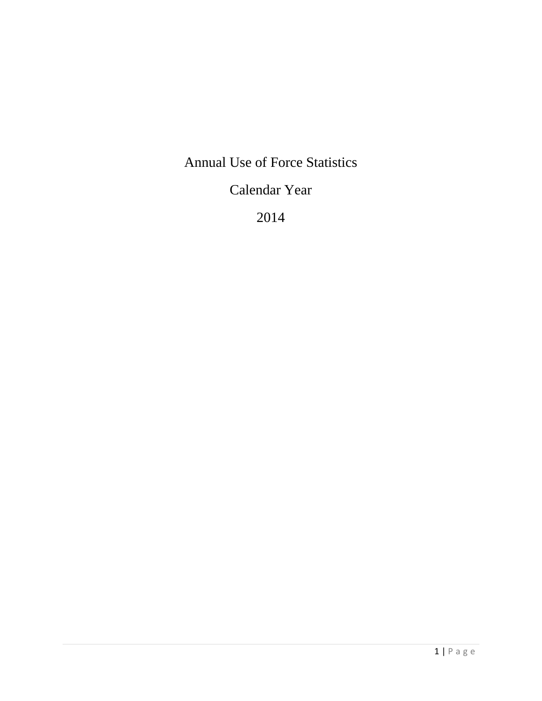# Annual Use of Force Statistics

# Calendar Year

2014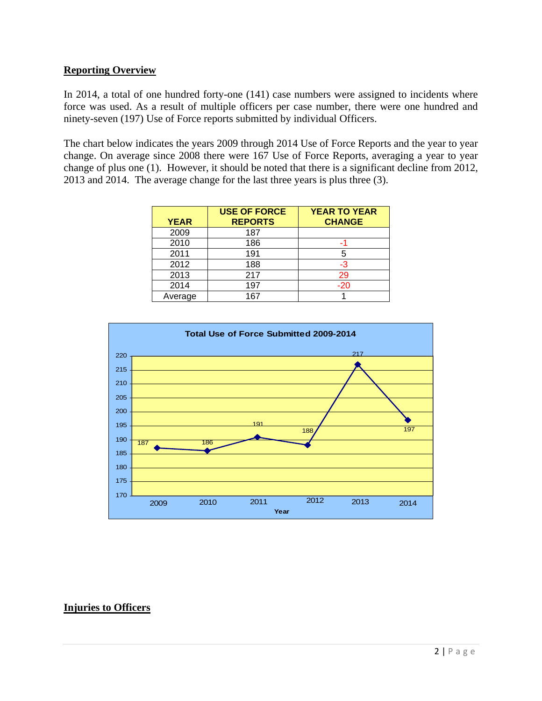## **Reporting Overview**

In 2014, a total of one hundred forty-one (141) case numbers were assigned to incidents where force was used. As a result of multiple officers per case number, there were one hundred and ninety-seven (197) Use of Force reports submitted by individual Officers.

The chart below indicates the years 2009 through 2014 Use of Force Reports and the year to year change. On average since 2008 there were 167 Use of Force Reports, averaging a year to year change of plus one (1). However, it should be noted that there is a significant decline from 2012, 2013 and 2014. The average change for the last three years is plus three (3).

| <b>YEAR</b> | <b>USE OF FORCE</b><br><b>REPORTS</b> | <b>YEAR TO YEAR</b><br><b>CHANGE</b> |
|-------------|---------------------------------------|--------------------------------------|
| 2009        | 187                                   |                                      |
| 2010        | 186                                   |                                      |
| 2011        | 191                                   | 5                                    |
| 2012        | 188                                   | -3                                   |
| 2013        | 217                                   | 29                                   |
| 2014        | 197                                   | $-20$                                |
| Average     | 167                                   |                                      |



## **Injuries to Officers**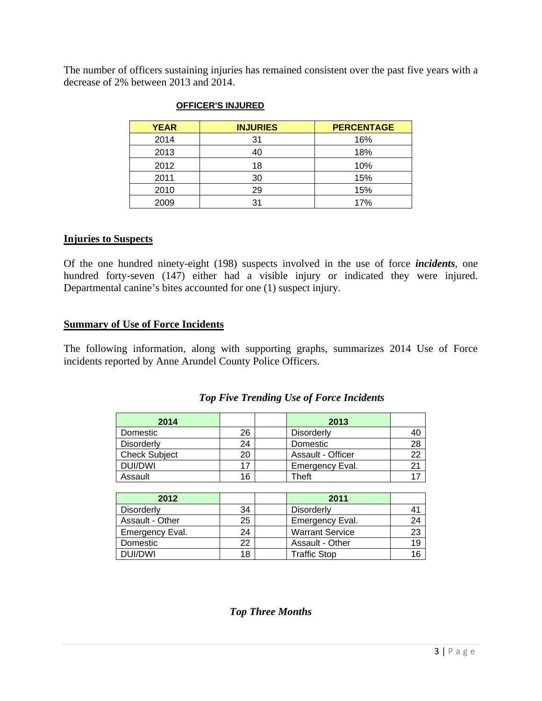The number of officers sustaining injuries has remained consistent over the past five years with a decrease of 2% between 2013 and 2014.

| <b>YEAR</b> | <b>INJURIES</b> | <b>PERCENTAGE</b> |
|-------------|-----------------|-------------------|
| 2014        | 31              | 16%               |
| 2013        |                 | 18%               |
| 2012        | 18              | 10%               |
| 2011        | 30              | 15%               |
| 2010        | 29              | 15%               |
| 2009        | 31              | 17%               |

#### **OFFICER'S INJURED**

### **Injuries to Suspects**

Of the one hundred ninety-eight (198) suspects involved in the use of force *incidents*, one hundred forty-seven (147) either had a visible injury or indicated they were injured. Departmental canine's bites accounted for one (1) suspect injury.

### **Summary of Use of Force Incidents**

The following information, along with supporting graphs, summarizes 2014 Use of Force incidents reported by Anne Arundel County Police Officers.

#### *Top Five Trending Use of Force Incidents*

| 2014                 |    | 2013              |    |
|----------------------|----|-------------------|----|
| Domestic             | 26 | <b>Disorderly</b> |    |
| <b>Disorderly</b>    | 24 | Domestic          | 28 |
| <b>Check Subject</b> | 20 | Assault - Officer | つつ |
| DUI/DWI              | 17 | Emergency Eval.   | 21 |
| Assault              | 16 | Theft             |    |

| 2012              |    | 2011                   |    |
|-------------------|----|------------------------|----|
| <b>Disorderly</b> | 34 | <b>Disorderly</b>      |    |
| Assault - Other   | 25 | Emergency Eval.        | 24 |
| Emergency Eval.   | 24 | <b>Warrant Service</b> | 23 |
| Domestic          | 22 | Assault - Other        | 19 |
| DUI/DWI           | 18 | <b>Traffic Stop</b>    |    |

*Top Three Months*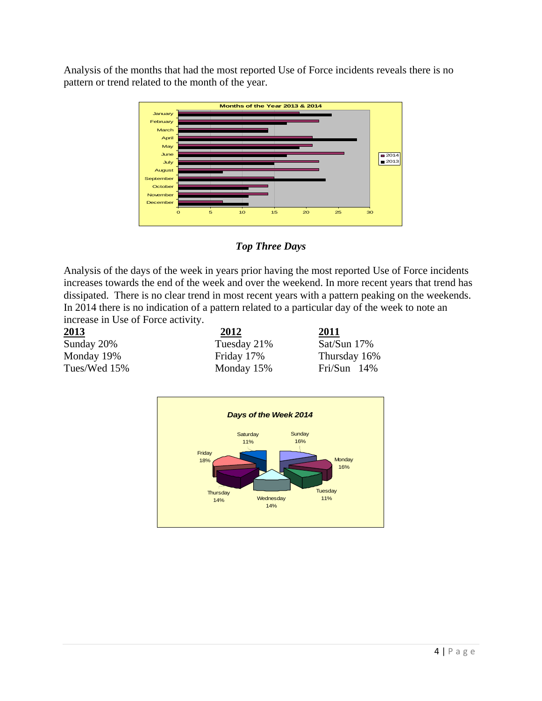Analysis of the months that had the most reported Use of Force incidents reveals there is no pattern or trend related to the month of the year.



*Top Three Days* 

Analysis of the days of the week in years prior having the most reported Use of Force incidents increases towards the end of the week and over the weekend. In more recent years that trend has dissipated. There is no clear trend in most recent years with a pattern peaking on the weekends. In 2014 there is no indication of a pattern related to a particular day of the week to note an increase in Use of Force activity.

| 2012        | 2011           |  |  |  |
|-------------|----------------|--|--|--|
| Tuesday 21% | Sat/Sun 17%    |  |  |  |
| Friday 17%  | Thursday 16%   |  |  |  |
| Monday 15%  | Fri/Sun $14\%$ |  |  |  |
|             |                |  |  |  |

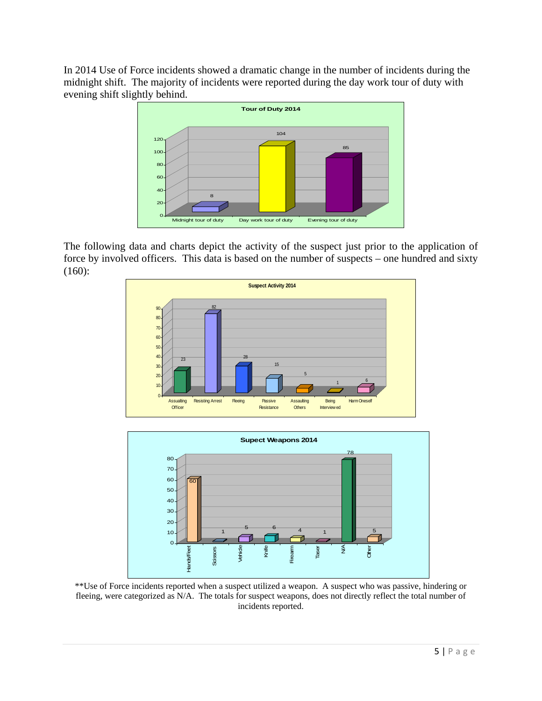In 2014 Use of Force incidents showed a dramatic change in the number of incidents during the midnight shift. The majority of incidents were reported during the day work tour of duty with evening shift slightly behind.



The following data and charts depict the activity of the suspect just prior to the application of force by involved officers. This data is based on the number of suspects – one hundred and sixty (160):





\*\*Use of Force incidents reported when a suspect utilized a weapon. A suspect who was passive, hindering or fleeing, were categorized as N/A. The totals for suspect weapons, does not directly reflect the total number of incidents reported.